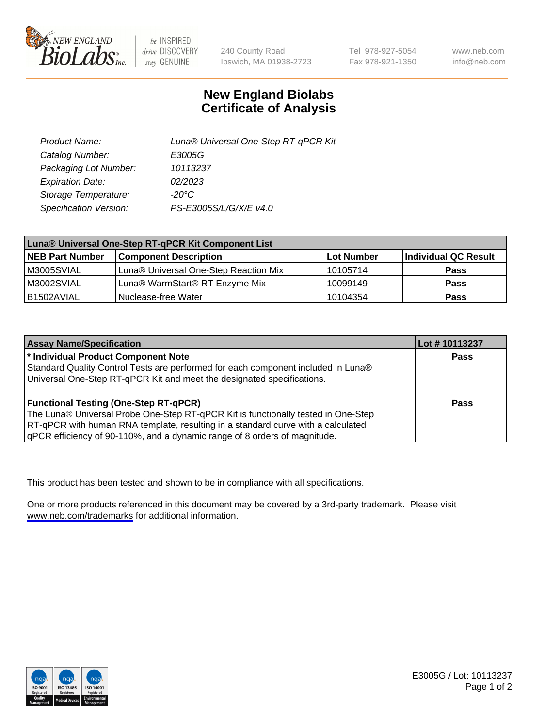

be INSPIRED drive DISCOVERY stay GENUINE

240 County Road Ipswich, MA 01938-2723 Tel 978-927-5054 Fax 978-921-1350

www.neb.com info@neb.com

## **New England Biolabs Certificate of Analysis**

| Product Name:           | Luna® Universal One-Step RT-qPCR Kit |
|-------------------------|--------------------------------------|
| Catalog Number:         | E3005G                               |
| Packaging Lot Number:   | 10113237                             |
| <b>Expiration Date:</b> | 02/2023                              |
| Storage Temperature:    | $-20^{\circ}$ C                      |
| Specification Version:  | PS-E3005S/L/G/X/E v4.0               |

| Luna® Universal One-Step RT-qPCR Kit Component List |                                       |            |                      |  |
|-----------------------------------------------------|---------------------------------------|------------|----------------------|--|
| <b>NEB Part Number</b>                              | <b>Component Description</b>          | Lot Number | Individual QC Result |  |
| M3005SVIAL                                          | Luna® Universal One-Step Reaction Mix | 10105714   | <b>Pass</b>          |  |
| M3002SVIAL                                          | Luna® WarmStart® RT Enzyme Mix        | 10099149   | <b>Pass</b>          |  |
| B1502AVIAL                                          | Nuclease-free Water                   | 10104354   | <b>Pass</b>          |  |

| <b>Assay Name/Specification</b>                                                   | Lot #10113237 |
|-----------------------------------------------------------------------------------|---------------|
| * Individual Product Component Note                                               | Pass          |
| Standard Quality Control Tests are performed for each component included in Luna® |               |
| Universal One-Step RT-qPCR Kit and meet the designated specifications.            |               |
| <b>Functional Testing (One-Step RT-qPCR)</b>                                      | Pass          |
| The Luna® Universal Probe One-Step RT-qPCR Kit is functionally tested in One-Step |               |
| RT-qPCR with human RNA template, resulting in a standard curve with a calculated  |               |
| gPCR efficiency of 90-110%, and a dynamic range of 8 orders of magnitude.         |               |

This product has been tested and shown to be in compliance with all specifications.

One or more products referenced in this document may be covered by a 3rd-party trademark. Please visit <www.neb.com/trademarks>for additional information.